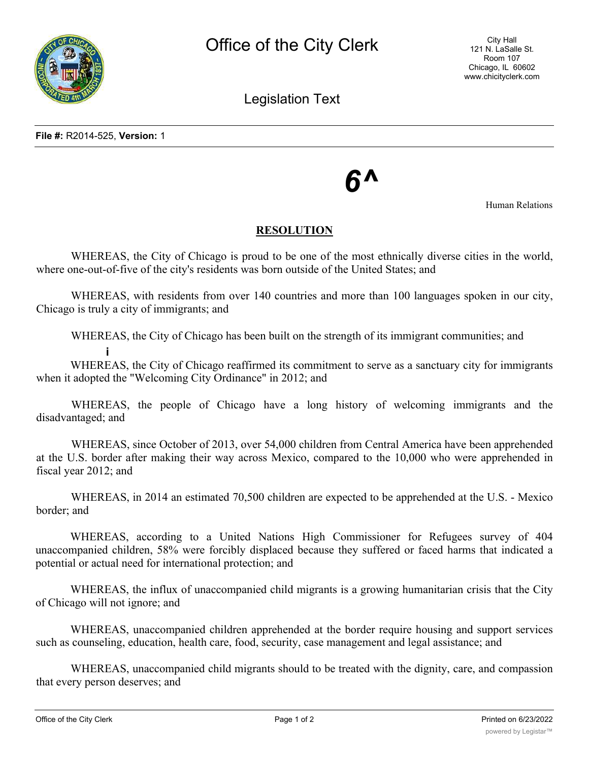Legislation Text

## *6^*

Human Relations

## **RESOLUTION**

WHEREAS, the City of Chicago is proud to be one of the most ethnically diverse cities in the world, where one-out-of-five of the city's residents was born outside of the United States; and

WHEREAS, with residents from over 140 countries and more than 100 languages spoken in our city, Chicago is truly a city of immigrants; and

WHEREAS, the City of Chicago has been built on the strength of its immigrant communities; and

**i** WHEREAS, the City of Chicago reaffirmed its commitment to serve as a sanctuary city for immigrants when it adopted the "Welcoming City Ordinance" in 2012; and

WHEREAS, the people of Chicago have a long history of welcoming immigrants and the disadvantaged; and

WHEREAS, since October of 2013, over 54,000 children from Central America have been apprehended at the U.S. border after making their way across Mexico, compared to the 10,000 who were apprehended in fiscal year 2012; and

WHEREAS, in 2014 an estimated 70,500 children are expected to be apprehended at the U.S. - Mexico border; and

WHEREAS, according to a United Nations High Commissioner for Refugees survey of 404 unaccompanied children, 58% were forcibly displaced because they suffered or faced harms that indicated a potential or actual need for international protection; and

WHEREAS, the influx of unaccompanied child migrants is a growing humanitarian crisis that the City of Chicago will not ignore; and

WHEREAS, unaccompanied children apprehended at the border require housing and support services such as counseling, education, health care, food, security, case management and legal assistance; and

WHEREAS, unaccompanied child migrants should to be treated with the dignity, care, and compassion that every person deserves; and